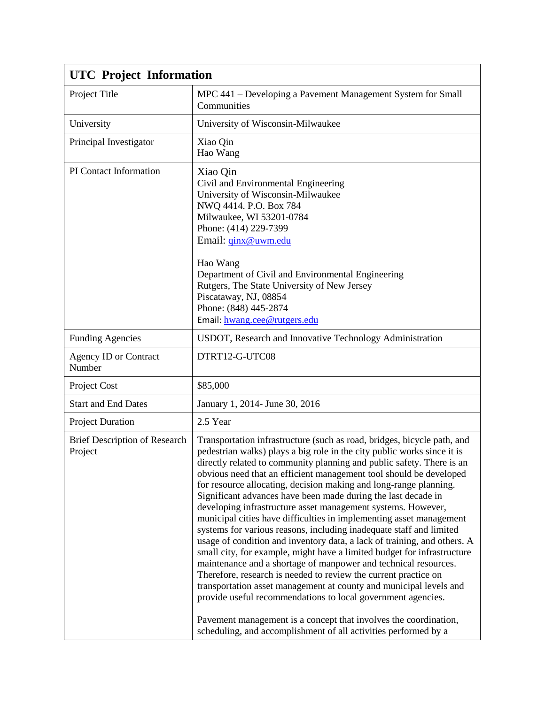| <b>UTC</b> Project Information           |                                                                                                                                                                                                                                                                                                                                                                                                                                                                                                                                                                                                                                                                                                                                                                                                                                                                                                                                                                                                                                                                                                                                                                                                                                 |  |
|------------------------------------------|---------------------------------------------------------------------------------------------------------------------------------------------------------------------------------------------------------------------------------------------------------------------------------------------------------------------------------------------------------------------------------------------------------------------------------------------------------------------------------------------------------------------------------------------------------------------------------------------------------------------------------------------------------------------------------------------------------------------------------------------------------------------------------------------------------------------------------------------------------------------------------------------------------------------------------------------------------------------------------------------------------------------------------------------------------------------------------------------------------------------------------------------------------------------------------------------------------------------------------|--|
| Project Title                            | MPC 441 - Developing a Pavement Management System for Small<br>Communities                                                                                                                                                                                                                                                                                                                                                                                                                                                                                                                                                                                                                                                                                                                                                                                                                                                                                                                                                                                                                                                                                                                                                      |  |
| University                               | University of Wisconsin-Milwaukee                                                                                                                                                                                                                                                                                                                                                                                                                                                                                                                                                                                                                                                                                                                                                                                                                                                                                                                                                                                                                                                                                                                                                                                               |  |
| Principal Investigator                   | Xiao Qin<br>Hao Wang                                                                                                                                                                                                                                                                                                                                                                                                                                                                                                                                                                                                                                                                                                                                                                                                                                                                                                                                                                                                                                                                                                                                                                                                            |  |
| PI Contact Information                   | Xiao Qin<br>Civil and Environmental Engineering<br>University of Wisconsin-Milwaukee<br>NWQ 4414. P.O. Box 784<br>Milwaukee, WI 53201-0784<br>Phone: (414) 229-7399<br>Email: <i>ginx@uwm.edu</i><br>Hao Wang<br>Department of Civil and Environmental Engineering<br>Rutgers, The State University of New Jersey<br>Piscataway, NJ, 08854<br>Phone: (848) 445-2874<br>Email: hwang.cee@rutgers.edu                                                                                                                                                                                                                                                                                                                                                                                                                                                                                                                                                                                                                                                                                                                                                                                                                             |  |
| <b>Funding Agencies</b>                  | USDOT, Research and Innovative Technology Administration                                                                                                                                                                                                                                                                                                                                                                                                                                                                                                                                                                                                                                                                                                                                                                                                                                                                                                                                                                                                                                                                                                                                                                        |  |
| <b>Agency ID or Contract</b><br>Number   | DTRT12-G-UTC08                                                                                                                                                                                                                                                                                                                                                                                                                                                                                                                                                                                                                                                                                                                                                                                                                                                                                                                                                                                                                                                                                                                                                                                                                  |  |
| Project Cost                             | \$85,000                                                                                                                                                                                                                                                                                                                                                                                                                                                                                                                                                                                                                                                                                                                                                                                                                                                                                                                                                                                                                                                                                                                                                                                                                        |  |
| <b>Start and End Dates</b>               | January 1, 2014- June 30, 2016                                                                                                                                                                                                                                                                                                                                                                                                                                                                                                                                                                                                                                                                                                                                                                                                                                                                                                                                                                                                                                                                                                                                                                                                  |  |
| <b>Project Duration</b>                  | 2.5 Year                                                                                                                                                                                                                                                                                                                                                                                                                                                                                                                                                                                                                                                                                                                                                                                                                                                                                                                                                                                                                                                                                                                                                                                                                        |  |
| Brief Description of Research<br>Project | Transportation infrastructure (such as road, bridges, bicycle path, and<br>pedestrian walks) plays a big role in the city public works since it is<br>directly related to community planning and public safety. There is an<br>obvious need that an efficient management tool should be developed<br>for resource allocating, decision making and long-range planning.<br>Significant advances have been made during the last decade in<br>developing infrastructure asset management systems. However,<br>municipal cities have difficulties in implementing asset management<br>systems for various reasons, including inadequate staff and limited<br>usage of condition and inventory data, a lack of training, and others. A<br>small city, for example, might have a limited budget for infrastructure<br>maintenance and a shortage of manpower and technical resources.<br>Therefore, research is needed to review the current practice on<br>transportation asset management at county and municipal levels and<br>provide useful recommendations to local government agencies.<br>Pavement management is a concept that involves the coordination,<br>scheduling, and accomplishment of all activities performed by a |  |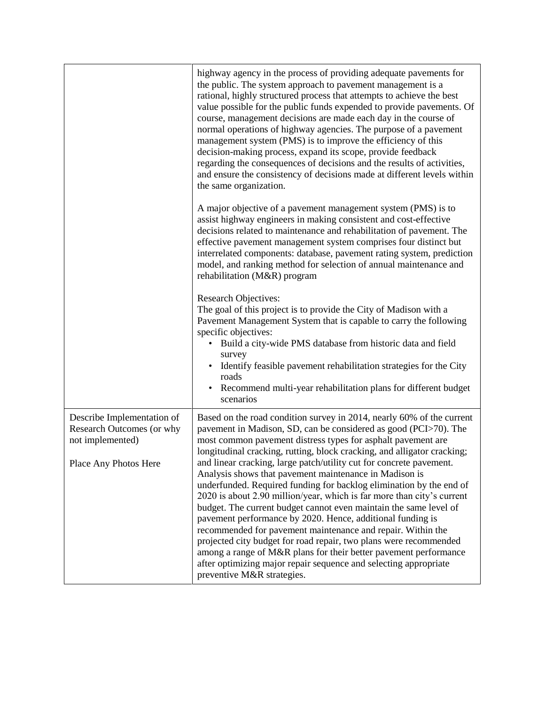|                                                                             | highway agency in the process of providing adequate pavements for<br>the public. The system approach to pavement management is a<br>rational, highly structured process that attempts to achieve the best<br>value possible for the public funds expended to provide pavements. Of<br>course, management decisions are made each day in the course of<br>normal operations of highway agencies. The purpose of a pavement<br>management system (PMS) is to improve the efficiency of this<br>decision-making process, expand its scope, provide feedback<br>regarding the consequences of decisions and the results of activities,<br>and ensure the consistency of decisions made at different levels within<br>the same organization. |
|-----------------------------------------------------------------------------|-----------------------------------------------------------------------------------------------------------------------------------------------------------------------------------------------------------------------------------------------------------------------------------------------------------------------------------------------------------------------------------------------------------------------------------------------------------------------------------------------------------------------------------------------------------------------------------------------------------------------------------------------------------------------------------------------------------------------------------------|
|                                                                             | A major objective of a pavement management system (PMS) is to<br>assist highway engineers in making consistent and cost-effective<br>decisions related to maintenance and rehabilitation of pavement. The<br>effective pavement management system comprises four distinct but<br>interrelated components: database, pavement rating system, prediction<br>model, and ranking method for selection of annual maintenance and<br>rehabilitation (M&R) program                                                                                                                                                                                                                                                                             |
|                                                                             | Research Objectives:<br>The goal of this project is to provide the City of Madison with a<br>Pavement Management System that is capable to carry the following<br>specific objectives:<br>• Build a city-wide PMS database from historic data and field<br>survey                                                                                                                                                                                                                                                                                                                                                                                                                                                                       |
|                                                                             | Identify feasible pavement rehabilitation strategies for the City<br>roads<br>Recommend multi-year rehabilitation plans for different budget<br>scenarios                                                                                                                                                                                                                                                                                                                                                                                                                                                                                                                                                                               |
| Describe Implementation of<br>Research Outcomes (or why<br>not implemented) | Based on the road condition survey in 2014, nearly 60% of the current<br>pavement in Madison, SD, can be considered as good (PCI>70). The<br>most common pavement distress types for asphalt pavement are<br>longitudinal cracking, rutting, block cracking, and alligator cracking;                                                                                                                                                                                                                                                                                                                                                                                                                                                    |
| Place Any Photos Here                                                       | and linear cracking, large patch/utility cut for concrete pavement.<br>Analysis shows that pavement maintenance in Madison is<br>underfunded. Required funding for backlog elimination by the end of<br>2020 is about 2.90 million/year, which is far more than city's current<br>budget. The current budget cannot even maintain the same level of<br>pavement performance by 2020. Hence, additional funding is<br>recommended for pavement maintenance and repair. Within the<br>projected city budget for road repair, two plans were recommended<br>among a range of M&R plans for their better pavement performance<br>after optimizing major repair sequence and selecting appropriate<br>preventive M&R strategies.             |